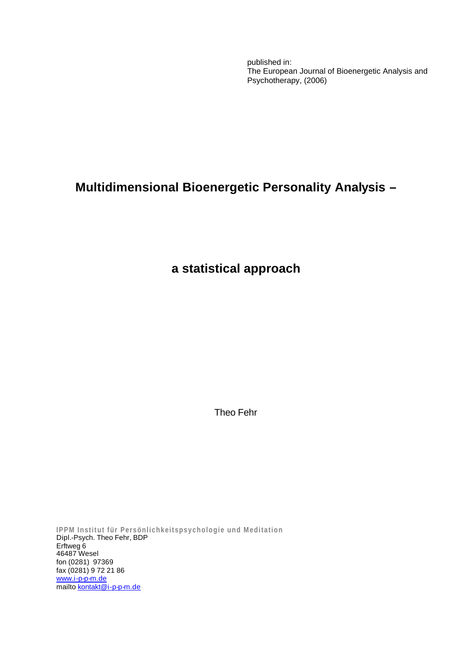published in: The European Journal of Bioenergetic Analysis and Psychotherapy, (2006)

# **Multidimensional Bioenergetic Personality Analysis –**

**a statistical approach**

Theo Fehr

**IPPM Institut für Persönlichkeitspsychologie und Meditation** Dipl.-Psych. Theo Fehr, BDP Erftweg 6 46487 Wesel fon (0281) 97369 fax (0281) 9 72 21 86 www.i-p-p-m.de mailto <u>kontakt@i-p-p-m.de</u>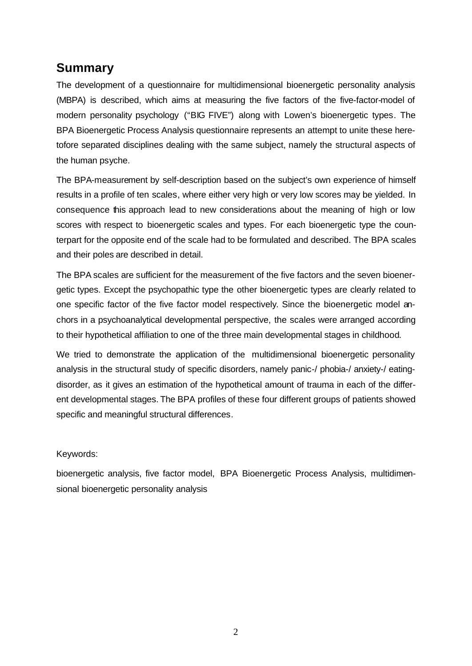## **Summary**

The development of a questionnaire for multidimensional bioenergetic personality analysis (MBPA) is described, which aims at measuring the five factors of the five-factor-model of modern personality psychology ("BIG FIVE") along with Lowen's bioenergetic types. The BPA Bioenergetic Process Analysis questionnaire represents an attempt to unite these heretofore separated disciplines dealing with the same subject, namely the structural aspects of the human psyche.

The BPA-measurement by self-description based on the subject's own experience of himself results in a profile of ten scales, where either very high or very low scores may be yielded. In consequence this approach lead to new considerations about the meaning of high or low scores with respect to bioenergetic scales and types. For each bioenergetic type the counterpart for the opposite end of the scale had to be formulated and described. The BPA scales and their poles are described in detail.

The BPA scales are sufficient for the measurement of the five factors and the seven bioenergetic types. Except the psychopathic type the other bioenergetic types are clearly related to one specific factor of the five factor model respectively. Since the bioenergetic model anchors in a psychoanalytical developmental perspective, the scales were arranged according to their hypothetical affiliation to one of the three main developmental stages in childhood.

We tried to demonstrate the application of the multidimensional bioenergetic personality analysis in the structural study of specific disorders, namely panic-/ phobia-/ anxiety-/ eatingdisorder, as it gives an estimation of the hypothetical amount of trauma in each of the different developmental stages. The BPA profiles of these four different groups of patients showed specific and meaningful structural differences.

#### Keywords:

bioenergetic analysis, five factor model, BPA Bioenergetic Process Analysis, multidimensional bioenergetic personality analysis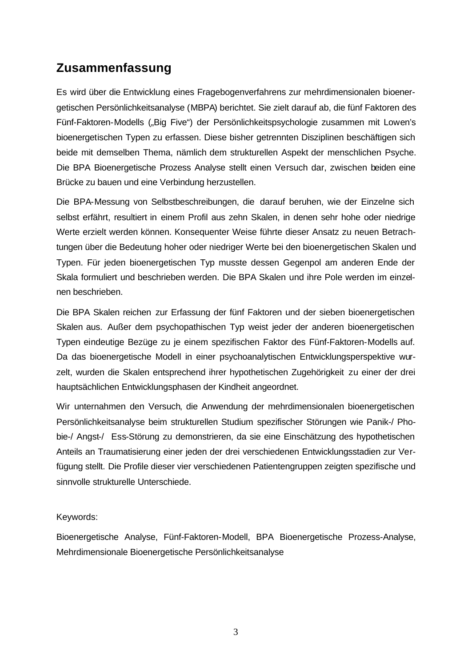# **Zusammenfassung**

Es wird über die Entwicklung eines Fragebogenverfahrens zur mehrdimensionalen bioenergetischen Persönlichkeitsanalyse (MBPA) berichtet. Sie zielt darauf ab, die fünf Faktoren des Fünf-Faktoren-Modells ("Big Five") der Persönlichkeitspsychologie zusammen mit Lowen's bioenergetischen Typen zu erfassen. Diese bisher getrennten Disziplinen beschäftigen sich beide mit demselben Thema, nämlich dem strukturellen Aspekt der menschlichen Psyche. Die BPA Bioenergetische Prozess Analyse stellt einen Versuch dar, zwischen beiden eine Brücke zu bauen und eine Verbindung herzustellen.

Die BPA-Messung von Selbstbeschreibungen, die darauf beruhen, wie der Einzelne sich selbst erfährt, resultiert in einem Profil aus zehn Skalen, in denen sehr hohe oder niedrige Werte erzielt werden können. Konsequenter Weise führte dieser Ansatz zu neuen Betrachtungen über die Bedeutung hoher oder niedriger Werte bei den bioenergetischen Skalen und Typen. Für jeden bioenergetischen Typ musste dessen Gegenpol am anderen Ende der Skala formuliert und beschrieben werden. Die BPA Skalen und ihre Pole werden im einzelnen beschrieben.

Die BPA Skalen reichen zur Erfassung der fünf Faktoren und der sieben bioenergetischen Skalen aus. Außer dem psychopathischen Typ weist jeder der anderen bioenergetischen Typen eindeutige Bezüge zu je einem spezifischen Faktor des Fünf-Faktoren-Modells auf. Da das bioenergetische Modell in einer psychoanalytischen Entwicklungsperspektive wurzelt, wurden die Skalen entsprechend ihrer hypothetischen Zugehörigkeit zu einer der drei hauptsächlichen Entwicklungsphasen der Kindheit angeordnet.

Wir unternahmen den Versuch, die Anwendung der mehrdimensionalen bioenergetischen Persönlichkeitsanalyse beim strukturellen Studium spezifischer Störungen wie Panik-/ Phobie-/ Angst-/ Ess-Störung zu demonstrieren, da sie eine Einschätzung des hypothetischen Anteils an Traumatisierung einer jeden der drei verschiedenen Entwicklungsstadien zur Verfügung stellt. Die Profile dieser vier verschiedenen Patientengruppen zeigten spezifische und sinnvolle strukturelle Unterschiede.

#### Keywords:

Bioenergetische Analyse, Fünf-Faktoren-Modell, BPA Bioenergetische Prozess-Analyse, Mehrdimensionale Bioenergetische Persönlichkeitsanalyse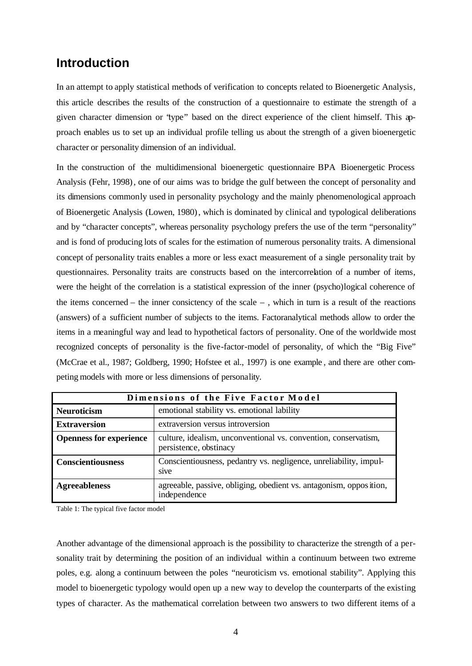### **Introduction**

In an attempt to apply statistical methods of verification to concepts related to Bioenergetic Analysis, this article describes the results of the construction of a questionnaire to estimate the strength of a given character dimension or "type" based on the direct experience of the client himself. This approach enables us to set up an individual profile telling us about the strength of a given bioenergetic character or personality dimension of an individual.

In the construction of the multidimensional bioenergetic questionnaire BPA Bioenergetic Process Analysis (Fehr, 1998), one of our aims was to bridge the gulf between the concept of personality and its dimensions commonly used in personality psychology and the mainly phenomenological approach of Bioenergetic Analysis (Lowen, 1980), which is dominated by clinical and typological deliberations and by "character concepts", whereas personality psychology prefers the use of the term "personality" and is fond of producing lots of scales for the estimation of numerous personality traits. A dimensional concept of personality traits enables a more or less exact measurement of a single personality trait by questionnaires. Personality traits are constructs based on the intercorrelation of a number of items, were the height of the correlation is a statistical expression of the inner (psycho)logical coherence of the items concerned – the inner consictency of the scale – , which in turn is a result of the reactions (answers) of a sufficient number of subjects to the items. Factoranalytical methods allow to order the items in a meaningful way and lead to hypothetical factors of personality. One of the worldwide most recognized concepts of personality is the five-factor-model of personality, of which the "Big Five" (McCrae et al., 1987; Goldberg, 1990; Hofstee et al., 1997) is one example , and there are other competing models with more or less dimensions of personality.

| Dimensions of the Five Factor Model                              |                                                                                           |  |  |  |  |  |  |
|------------------------------------------------------------------|-------------------------------------------------------------------------------------------|--|--|--|--|--|--|
| emotional stability vs. emotional lability<br><b>Neuroticism</b> |                                                                                           |  |  |  |  |  |  |
| <b>Extraversion</b>                                              | extraversion versus introversion                                                          |  |  |  |  |  |  |
| <b>Openness for experience</b>                                   | culture, idealism, unconventional vs. convention, conservatism,<br>persistence, obstinacy |  |  |  |  |  |  |
| <b>Conscientiousness</b>                                         | Conscientiousness, pedantry vs. negligence, unreliability, impul-<br>sive                 |  |  |  |  |  |  |
| <b>Agreeableness</b>                                             | agreeable, passive, obliging, obedient vs. antagonism, opposition,<br>independence        |  |  |  |  |  |  |

Table 1: The typical five factor model

Another advantage of the dimensional approach is the possibility to characterize the strength of a personality trait by determining the position of an individual within a continuum between two extreme poles, e.g. along a continuum between the poles "neuroticism vs. emotional stability". Applying this model to bioenergetic typology would open up a new way to develop the counterparts of the existing types of character. As the mathematical correlation between two answers to two different items of a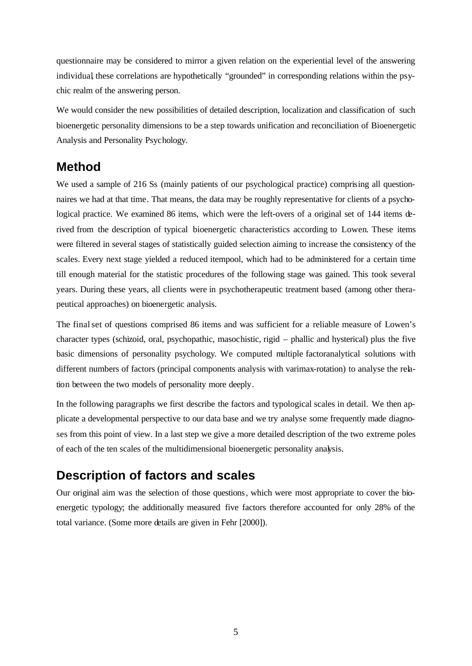questionnaire may be considered to mirror a given relation on the experiential level of the answering individual, these correlations are hypothetically "grounded" in corresponding relations within the psychic realm of the answering person.

We would consider the new possibilities of detailed description, localization and classification of such bioenergetic personality dimensions to be a step towards unification and reconciliation of Bioenergetic Analysis and Personality Psychology.

#### **Method**

We used a sample of 216 Ss (mainly patients of our psychological practice) comprising all questionnaires we had at that time. That means, the data may be roughly representative for clients of a psychological practice. We examined 86 items, which were the left-overs of a original set of 144 items derived from the description of typical bioenergetic characteristics according to Lowen. These items were filtered in several stages of statistically guided selection aiming to increase the consistency of the scales. Every next stage yielded a reduced itempool, which had to be administered for a certain time till enough material for the statistic procedures of the following stage was gained. This took several years. During these years, all clients were in psychotherapeutic treatment based (among other therapeutical approaches) on bioenergetic analysis.

The final set of questions comprised 86 items and was sufficient for a reliable measure of Lowen's character types (schizoid, oral, psychopathic, masochistic, rigid – phallic and hysterical) plus the five basic dimensions of personality psychology. We computed multiple factoranalytical solutions with different numbers of factors (principal components analysis with varimax-rotation) to analyse the relation between the two models of personality more deeply.

In the following paragraphs we first describe the factors and typological scales in detail. We then applicate a developmental perspective to our data base and we try analyse some frequently made diagnoses from this point of view. In a last step we give a more detailed description of the two extreme poles of each of the ten scales of the multidimensional bioenergetic personality analysis.

## **Description of factors and scales**

Our original aim was the selection of those questions, which were most appropriate to cover the bioenergetic typology; the additionally measured five factors therefore accounted for only 28% of the total variance. (Some more details are given in Fehr [2000]).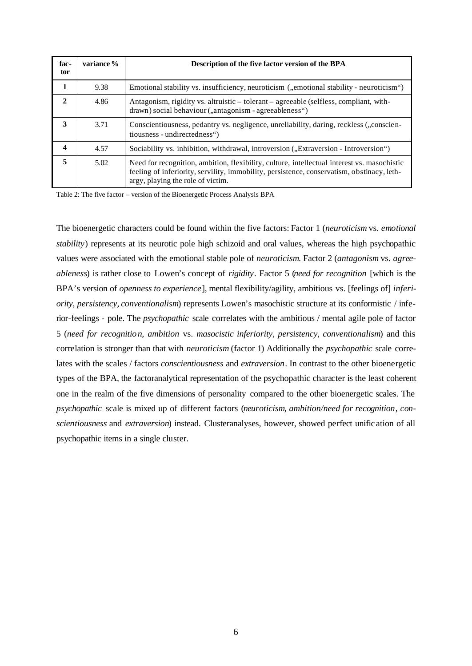| fac-<br>tor | variance % | Description of the five factor version of the BPA                                                                                                                                                                              |
|-------------|------------|--------------------------------------------------------------------------------------------------------------------------------------------------------------------------------------------------------------------------------|
| 1           | 9.38       | Emotional stability vs. insufficiency, neuroticism ("emotional stability - neuroticism")                                                                                                                                       |
| 2           | 4.86       | Antagonism, rigidity vs. altruistic – tolerant – agreeable (selfless, compliant, with-<br>drawn) social behaviour ("antagonism - agreeableness")                                                                               |
| 3           | 3.71       | Conscientiousness, pedantry vs. negligence, unreliability, daring, reckless ("conscien-<br>tiousness - undirectedness")                                                                                                        |
| 4           | 4.57       | Sociability vs. inhibition, withdrawal, introversion ("Extraversion - Introversion")                                                                                                                                           |
| 5           | 5.02       | Need for recognition, ambition, flexibility, culture, intellectual interest vs. masochistic<br>feeling of inferiority, servility, immobility, persistence, conservatism, obstinacy, leth-<br>argy, playing the role of victim. |

Table 2: The five factor – version of the Bioenergetic Process Analysis BPA

The bioenergetic characters could be found within the five factors: Factor 1 (*neuroticism* vs. *emotional stability*) represents at its neurotic pole high schizoid and oral values, whereas the high psychopathic values were associated with the emotional stable pole of *neuroticism*. Factor 2 (*antagonism* vs. *agreeableness*) is rather close to Lowen's concept of *rigidity*. Factor 5 (*need for recognition* [which is the BPA's version of *openness to experience*], mental flexibility/agility, ambitious vs. [feelings of] *inferiority, persistency, conventionalism*) represents Lowen's masochistic structure at its conformistic / inferior-feelings - pole. The *psychopathic* scale correlates with the ambitious / mental agile pole of factor 5 (*need for recognition, ambition* vs. *masocistic inferiority, persistency, conventionalism*) and this correlation is stronger than that with *neuroticism* (factor 1) Additionally the *psychopathic* scale correlates with the scales / factors *conscientiousness* and *extraversion*. In contrast to the other bioenergetic types of the BPA, the factoranalytical representation of the psychopathic character is the least coherent one in the realm of the five dimensions of personality compared to the other bioenergetic scales. The *psychopathic* scale is mixed up of different factors (*neuroticism*, *ambition/need for recognition*, *conscientiousness* and *extraversion*) instead. Clusteranalyses, however, showed perfect unification of all psychopathic items in a single cluster.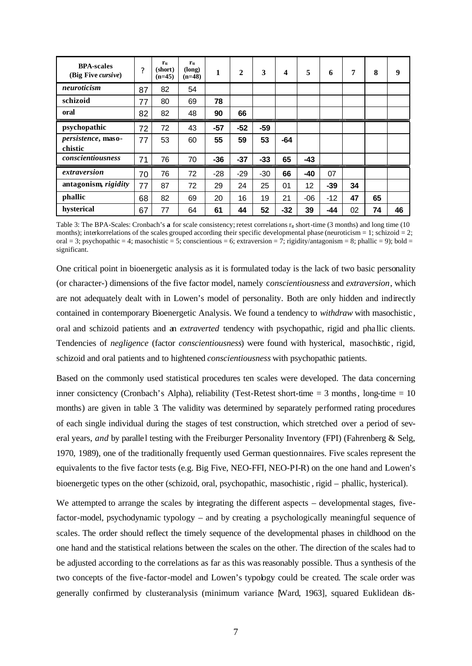| <b>BPA-scales</b><br>(Big Five cursive) | ?  | $r_{tt}$<br>(short)<br>$(n=45)$ | $r_{tt}$<br>(long)<br>$(n=48)$ | 1     | $\mathbf{2}$ | 3     | 4     | 5     | 6     | $\overline{7}$ | 8  | 9  |
|-----------------------------------------|----|---------------------------------|--------------------------------|-------|--------------|-------|-------|-------|-------|----------------|----|----|
| neuroticism                             | 87 | 82                              | 54                             |       |              |       |       |       |       |                |    |    |
| schizoid                                | 77 | 80                              | 69                             | 78    |              |       |       |       |       |                |    |    |
| oral                                    | 82 | 82                              | 48                             | 90    | 66           |       |       |       |       |                |    |    |
| psychopathic                            | 72 | 72                              | 43                             | $-57$ | $-52$        | $-59$ |       |       |       |                |    |    |
| persistence, maso-<br>chistic           | 77 | 53                              | 60                             | 55    | 59           | 53    | $-64$ |       |       |                |    |    |
| conscientiousness                       | 71 | 76                              | 70                             | $-36$ | $-37$        | $-33$ | 65    | $-43$ |       |                |    |    |
| extraversion                            | 70 | 76                              | 72                             | $-28$ | $-29$        | $-30$ | 66    | $-40$ | 07    |                |    |    |
| antagonism, rigidity                    | 77 | 87                              | 72                             | 29    | 24           | 25    | 01    | 12    | $-39$ | 34             |    |    |
| phallic                                 | 68 | 82                              | 69                             | 20    | 16           | 19    | 21    | $-06$ | $-12$ | 47             | 65 |    |
| hysterical                              | 67 | 77                              | 64                             | 61    | 44           | 52    | -32   | 39    | -44   | 02             | 74 | 46 |

Table 3: The BPA-Scales: Cronbach's **a** for scale consistency; retest correlations  $r_{tt}$  short-time (3 months) and long time (10 months); interkorrelations of the scales grouped according their specific developmental phase (neuroticism  $= 1$ ; schizoid  $= 2$ ; oral = 3; psychopathic = 4; masochistic = 5; conscientious = 6; extraversion = 7; rigidity/antagonism = 8; phallic = 9); bold = significant.

One critical point in bioenergetic analysis as it is formulated today is the lack of two basic personality (or character-) dimensions of the five factor model, namely c*onscientiousness* and *extraversion*, which are not adequately dealt with in Lowen's model of personality. Both are only hidden and indirectly contained in contemporary Bioenergetic Analysis. We found a tendency to *withdraw* with masochistic, oral and schizoid patients and an *extraverted* tendency with psychopathic, rigid and pha llic clients. Tendencies of *negligence* (factor *conscientiousness*) were found with hysterical, masochistic , rigid, schizoid and oral patients and to hightened *conscientiousness* with psychopathic patients.

Based on the commonly used statistical procedures ten scales were developed. The data concerning inner consictency (Cronbach's Alpha), reliability (Test-Retest short-time = 3 months, long-time = 10 months) are given in table 3. The validity was determined by separately performed rating procedures of each single individual during the stages of test construction, which stretched over a period of several years, *and* by parallel testing with the Freiburger Personality Inventory (FPI) (Fahrenberg & Selg, 1970, 1989), one of the traditionally frequently used German questionnaires. Five scales represent the equivalents to the five factor tests (e.g. Big Five, NEO-FFI, NEO-PI-R) on the one hand and Lowen's bioenergetic types on the other (schizoid, oral, psychopathic, masochistic , rigid – phallic, hysterical).

We attempted to arrange the scales by integrating the different aspects – developmental stages, fivefactor-model, psychodynamic typology – and by creating a psychologically meaningful sequence of scales. The order should reflect the timely sequence of the developmental phases in childhood on the one hand and the statistical relations between the scales on the other. The direction of the scales had to be adjusted according to the correlations as far as this was reasonably possible. Thus a synthesis of the two concepts of the five-factor-model and Lowen's typology could be created. The scale order was generally confirmed by clusteranalysis (minimum variance [Ward, 1963], squared Euklidean dis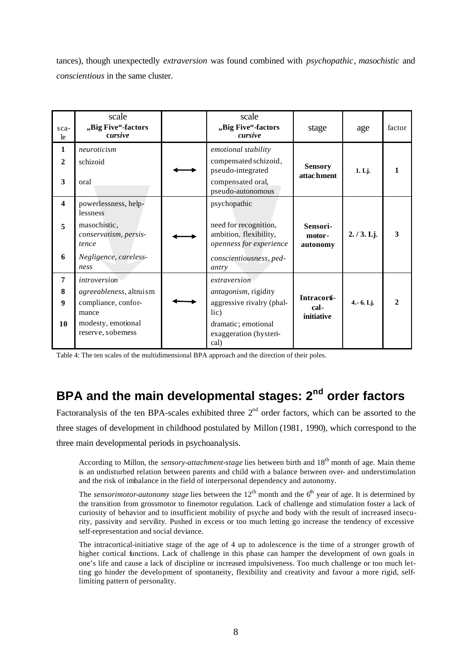tances), though unexpectedly *extraversion* was found combined with *psychopathic*, *masochistic* and *conscientious* in the same cluster.

| sca-<br>le                                              | scale<br>"Big Five"-factors<br>cursive                                                                                     | scale<br>"Big Five"-factors<br>cursive                                                                                             | stage                             | age         | factor       |
|---------------------------------------------------------|----------------------------------------------------------------------------------------------------------------------------|------------------------------------------------------------------------------------------------------------------------------------|-----------------------------------|-------------|--------------|
| $\mathbf{1}$<br>$\mathbf{2}$<br>$\overline{\mathbf{3}}$ | neuroticism<br>schizoid<br>oral                                                                                            | emotional stability<br>compensated schizoid,<br>pseudo-integrated<br>compensated oral,<br>pseudo-autonomous                        | <b>Sensory</b><br>attac hment     | 1. Lj.      |              |
| $\overline{\mathbf{4}}$<br>5<br>6                       | powerlessness, help-<br>lessness<br>masochistic,<br>conservatism, persis-<br>tence<br>Negligence, careless-<br>ness        | psychopathic<br>need for recognition,<br>ambition, flexibility,<br>openness for experience<br>conscientiousness, ped-<br>antry     | Sensori-<br>motor-<br>autonomy    | 2./3.Lj.    | 3            |
| $\overline{7}$<br>8<br>9<br>10                          | <i>introversion</i><br>agreeableness, altruism<br>compliance, confor-<br>mance<br>modesty, emotional<br>reserve, soberness | extraversion<br>antagonism, rigidity<br>aggressive rivalry (phal-<br>lic)<br>dramatic; emotional<br>exaggeration (hysteri-<br>cal) | Intracorti-<br>cal-<br>initiative | 4. - 6. Lj. | $\mathbf{2}$ |

Table 4: The ten scales of the multidimensional BPA approach and the direction of their poles.

# **BPA and the main developmental stages: 2nd order factors**

Factoranalysis of the ten BPA-scales exhibited three  $2<sup>nd</sup>$  order factors, which can be assorted to the three stages of development in childhood postulated by Millon (1981, 1990), which correspond to the three main developmental periods in psychoanalysis.

According to Millon, the *sensory-attachment-stage* lies between birth and 18<sup>th</sup> month of age. Main theme is an undisturbed relation between parents and child with a balance between over- and understimulation and the risk of imbalance in the field of interpersonal dependency and autonomy.

The *sensorimotor-autonomy stage* lies between the  $12<sup>th</sup>$  month and the  $6<sup>th</sup>$  year of age. It is determined by the transition from grossmotor to finemotor regulation. Lack of challenge and stimulation foster a lack of curiosity of behavior and to insufficient mobility of psyche and body with the result of increased insecurity, passivity and servility. Pushed in excess or too much letting go increase the tendency of excessive self-representation and social deviance.

The intracortical-initiative stage of the age of 4 up to adolescence is the time of a stronger growth of higher cortical functions. Lack of challenge in this phase can hamper the development of own goals in one's life and cause a lack of discipline or increased impulsiveness. Too much challenge or too much letting go hinder the development of spontaneity, flexibility and creativity and favour a more rigid, selflimiting pattern of personality.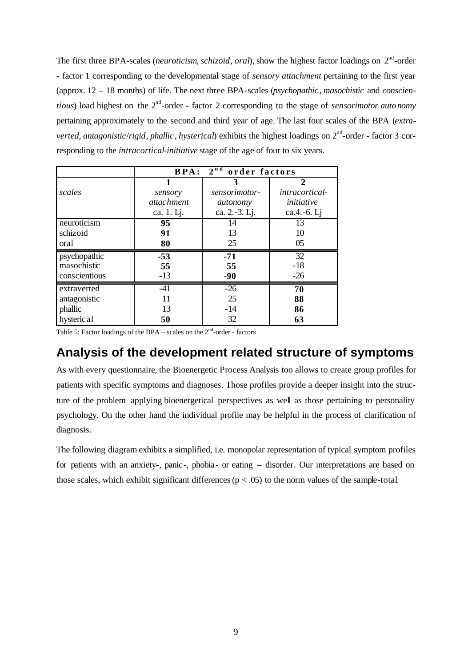The first three BPA-scales (*neuroticism*, *schizoid*, *oral*), show the highest factor loadings on  $2^{nd}$ -order - factor 1 corresponding to the developmental stage of *sensory attachment* pertaining to the first year (approx. 12 – 18 months) of life. The next three BPA-scales (*psychopathic* , *masochistic* and *conscien*tious) load highest on the 2<sup>nd</sup>-order - factor 2 corresponding to the stage of *sensorimotor autonomy* pertaining approximately to the second and third year of age. The last four scales of the BPA (*extra*verted, antagonistic/rigid, phallic, hysterical) exhibits the highest loadings on 2<sup>nd</sup>-order - factor 3 corresponding to the *intracortical-initiative* stage of the age of four to six years.

|               | <b>BPA:</b>       | $2^{nd}$<br>order factors |                             |
|---------------|-------------------|---------------------------|-----------------------------|
|               |                   | 3                         | $\mathcal{D}_{\mathcal{L}}$ |
| scales        | sensory           | sensorimotor-             | <i>intracortical-</i>       |
|               | <i>attachment</i> | autonomy                  | initiative                  |
|               | ca. 1. Lj.        | ca. 2.-3. Lj.             | ca.4.-6. Lj                 |
| neuroticism   | 95                | 14                        | 13                          |
| schizoid      | 91                | 13                        | 10                          |
| oral          | 80                | 25                        | 05                          |
| psychopathic  | $-53$             | $-71$                     | 32                          |
| masochistic   | 55                | 55                        | $-18$                       |
| conscientious | $-13$             | $-90$                     | $-26$                       |
| extraverted   | $-41$             | $-26$                     | 70                          |
| antagonistic  | 11                | 25                        | 88                          |
| phallic       | 13                | $-14$                     | 86                          |
| hysteric al   | 50                | 32                        | 63                          |

Table 5: Factor loadings of the BPA – scales on the  $2<sup>nd</sup>$ -order - factors

#### **Analysis of the development related structure of symptoms**

As with every questionnaire, the Bioenergetic Process Analysis too allows to create group profiles for patients with specific symptoms and diagnoses. Those profiles provide a deeper insight into the structure of the problem applying bioenergetical perspectives as well as those pertaining to personality psychology. On the other hand the individual profile may be helpful in the process of clarification of diagnosis.

The following diagram exhibits a simplified, i.e. monopolar representation of typical symptom profiles for patients with an anxiety-, panic-, phobia- or eating – disorder. Our interpretations are based on those scales, which exhibit significant differences ( $p < .05$ ) to the norm values of the sample-total.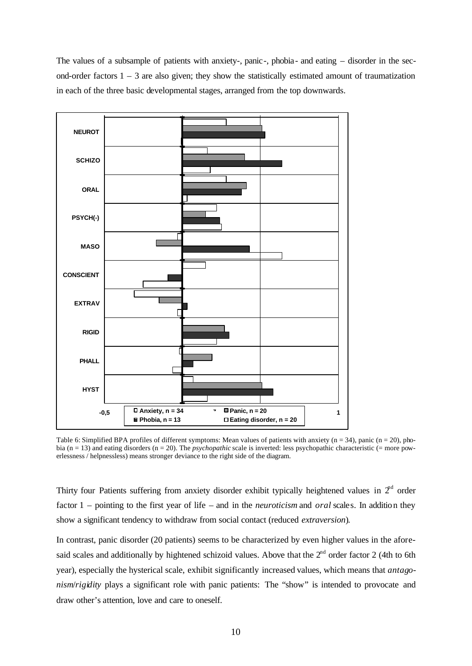The values of a subsample of patients with anxiety-, panic-, phobia- and eating – disorder in the second-order factors  $1 - 3$  are also given; they show the statistically estimated amount of traumatization in each of the three basic developmental stages, arranged from the top downwards.



Table 6: Simplified BPA profiles of different symptoms: Mean values of patients with anxiety ( $n = 34$ ), panic ( $n = 20$ ), phobia (n = 13) and eating disorders (n = 20). The *psychopathic* scale is inverted: less psychopathic characteristic (= more powerlessness / helpnessless) means stronger deviance to the right side of the diagram.

Thirty four Patients suffering from anxiety disorder exhibit typically heightened values in  $2<sup>nd</sup>$  order factor 1 – pointing to the first year of life – and in the *neuroticism* and *oral* scales. In addition they show a significant tendency to withdraw from social contact (reduced *extraversion*).

In contrast, panic disorder (20 patients) seems to be characterized by even higher values in the aforesaid scales and additionally by hightened schizoid values. Above that the  $2<sup>nd</sup>$  order factor 2 (4th to 6th year), especially the hysterical scale, exhibit significantly increased values, which means that *antagonism*/*rigidity* plays a significant role with panic patients: The "show" is intended to provocate and draw other's attention, love and care to oneself.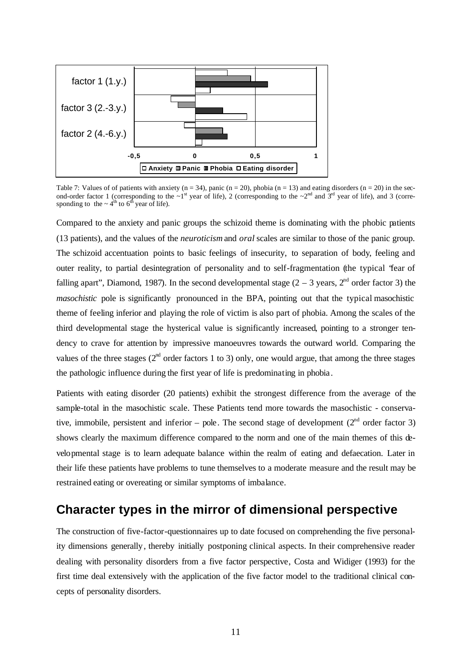

Table 7: Values of of patients with anxiety  $(n = 34)$ , panic  $(n = 20)$ , phobia  $(n = 13)$  and eating disorders  $(n = 20)$  in the second-order factor 1 (corresponding to the  $\sim 1^{st}$  year of life), 2 (corresponding to the  $\sim 2^{nd}$  and  $3^{rd}$  year of life), and 3 (corresponding to the  $\sim 4^{th}$  to 6<sup>th</sup> year of life).

Compared to the anxiety and panic groups the schizoid theme is dominating with the phobic patients (13 patients), and the values of the *neuroticism* and *oral* scales are similar to those of the panic group. The schizoid accentuation points to basic feelings of insecurity, to separation of body, feeling and outer reality, to partial desintegration of personality and to self-fragmentation (the typical "fear of falling apart", Diamond, 1987). In the second developmental stage  $(2 – 3$  years,  $2<sup>nd</sup>$  order factor 3) the *masochistic* pole is significantly pronounced in the BPA, pointing out that the typical masochistic theme of feeling inferior and playing the role of victim is also part of phobia. Among the scales of the third developmental stage the hysterical value is significantly increased, pointing to a stronger tendency to crave for attention by impressive manoeuvres towards the outward world. Comparing the values of the three stages ( $2<sup>nd</sup>$  order factors 1 to 3) only, one would argue, that among the three stages the pathologic influence during the first year of life is predominating in phobia.

Patients with eating disorder (20 patients) exhibit the strongest difference from the average of the sample-total in the masochistic scale. These Patients tend more towards the masochistic - conservative, immobile, persistent and inferior – pole. The second stage of development  $(2<sup>nd</sup>$  order factor 3) shows clearly the maximum difference compared to the norm and one of the main themes of this developmental stage is to learn adequate balance within the realm of eating and defaecation. Later in their life these patients have problems to tune themselves to a moderate measure and the result may be restrained eating or overeating or similar symptoms of imbalance.

#### **Character types in the mirror of dimensional perspective**

The construction of five-factor-questionnaires up to date focused on comprehending the five personality dimensions generally, thereby initially postponing clinical aspects. In their comprehensive reader dealing with personality disorders from a five factor perspective, Costa and Widiger (1993) for the first time deal extensively with the application of the five factor model to the traditional clinical concepts of personality disorders.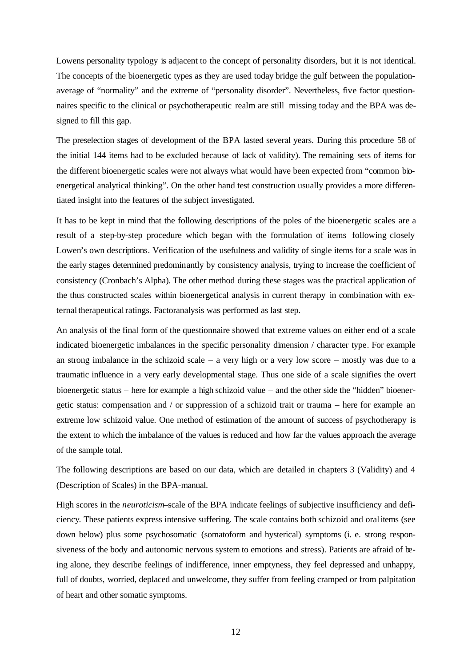Lowens personality typology is adjacent to the concept of personality disorders, but it is not identical. The concepts of the bioenergetic types as they are used today bridge the gulf between the populationaverage of "normality" and the extreme of "personality disorder". Nevertheless, five factor questionnaires specific to the clinical or psychotherapeutic realm are still missing today and the BPA was designed to fill this gap.

The preselection stages of development of the BPA lasted several years. During this procedure 58 of the initial 144 items had to be excluded because of lack of validity). The remaining sets of items for the different bioenergetic scales were not always what would have been expected from "common bioenergetical analytical thinking". On the other hand test construction usually provides a more differentiated insight into the features of the subject investigated.

It has to be kept in mind that the following descriptions of the poles of the bioenergetic scales are a result of a step-by-step procedure which began with the formulation of items following closely Lowen's own descriptions. Verification of the usefulness and validity of single items for a scale was in the early stages determined predominantly by consistency analysis, trying to increase the coefficient of consistency (Cronbach's Alpha). The other method during these stages was the practical application of the thus constructed scales within bioenergetical analysis in current therapy in combination with external therapeutical ratings. Factoranalysis was performed as last step.

An analysis of the final form of the questionnaire showed that extreme values on either end of a scale indicated bioenergetic imbalances in the specific personality dimension / character type. For example an strong imbalance in the schizoid scale – a very high or a very low score – mostly was due to a traumatic influence in a very early developmental stage. Thus one side of a scale signifies the overt bioenergetic status – here for example a high schizoid value – and the other side the "hidden" bioenergetic status: compensation and / or suppression of a schizoid trait or trauma – here for example an extreme low schizoid value. One method of estimation of the amount of success of psychotherapy is the extent to which the imbalance of the values is reduced and how far the values approach the average of the sample total.

The following descriptions are based on our data, which are detailed in chapters 3 (Validity) and 4 (Description of Scales) in the BPA-manual.

High scores in the *neuroticism*–scale of the BPA indicate feelings of subjective insufficiency and deficiency. These patients express intensive suffering. The scale contains both schizoid and oral items (see down below) plus some psychosomatic (somatoform and hysterical) symptoms (i. e. strong responsiveness of the body and autonomic nervous system to emotions and stress). Patients are afraid of being alone, they describe feelings of indifference, inner emptyness, they feel depressed and unhappy, full of doubts, worried, deplaced and unwelcome, they suffer from feeling cramped or from palpitation of heart and other somatic symptoms.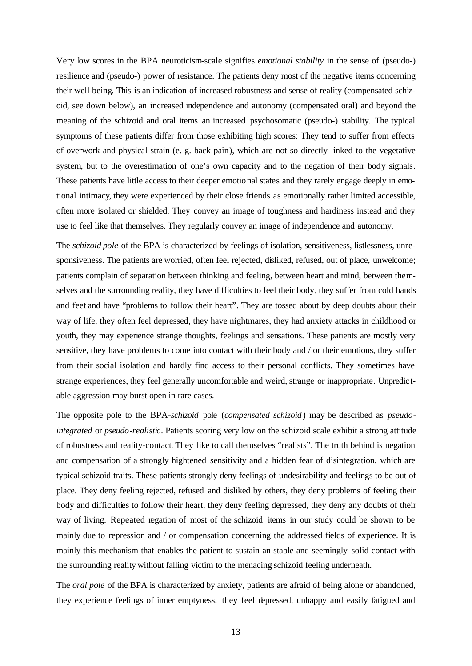Very low scores in the BPA neuroticism-scale signifies *emotional stability* in the sense of (pseudo-) resilience and (pseudo-) power of resistance. The patients deny most of the negative items concerning their well-being. This is an indication of increased robustness and sense of reality (compensated schizoid, see down below), an increased independence and autonomy (compensated oral) and beyond the meaning of the schizoid and oral items an increased psychosomatic (pseudo-) stability. The typical symptoms of these patients differ from those exhibiting high scores: They tend to suffer from effects of overwork and physical strain (e. g. back pain), which are not so directly linked to the vegetative system, but to the overestimation of one's own capacity and to the negation of their body signals. These patients have little access to their deeper emotional states and they rarely engage deeply in emotional intimacy, they were experienced by their close friends as emotionally rather limited accessible, often more isolated or shielded. They convey an image of toughness and hardiness instead and they use to feel like that themselves. They regularly convey an image of independence and autonomy.

The *schizoid pole* of the BPA is characterized by feelings of isolation, sensitiveness, listlessness, unresponsiveness. The patients are worried, often feel rejected, disliked, refused, out of place, unwelcome; patients complain of separation between thinking and feeling, between heart and mind, between themselves and the surrounding reality, they have difficulties to feel their body, they suffer from cold hands and feet and have "problems to follow their heart". They are tossed about by deep doubts about their way of life, they often feel depressed, they have nightmares, they had anxiety attacks in childhood or youth, they may experience strange thoughts, feelings and sensations. These patients are mostly very sensitive, they have problems to come into contact with their body and / or their emotions, they suffer from their social isolation and hardly find access to their personal conflicts. They sometimes have strange experiences, they feel generally uncomfortable and weird, strange or inappropriate. Unpredictable aggression may burst open in rare cases.

The opposite pole to the BPA-*schizoid* pole (*compensated schizoid*) may be described as *pseudointegrated* or *pseudo-realistic*. Patients scoring very low on the schizoid scale exhibit a strong attitude of robustness and reality-contact. They like to call themselves "realists". The truth behind is negation and compensation of a strongly hightened sensitivity and a hidden fear of disintegration, which are typical schizoid traits. These patients strongly deny feelings of undesirability and feelings to be out of place. They deny feeling rejected, refused and disliked by others, they deny problems of feeling their body and difficulties to follow their heart, they deny feeling depressed, they deny any doubts of their way of living. Repeated negation of most of the schizoid items in our study could be shown to be mainly due to repression and / or compensation concerning the addressed fields of experience. It is mainly this mechanism that enables the patient to sustain an stable and seemingly solid contact with the surrounding reality without falling victim to the menacing schizoid feeling underneath.

The *oral pole* of the BPA is characterized by anxiety, patients are afraid of being alone or abandoned, they experience feelings of inner emptyness, they feel depressed, unhappy and easily fatigued and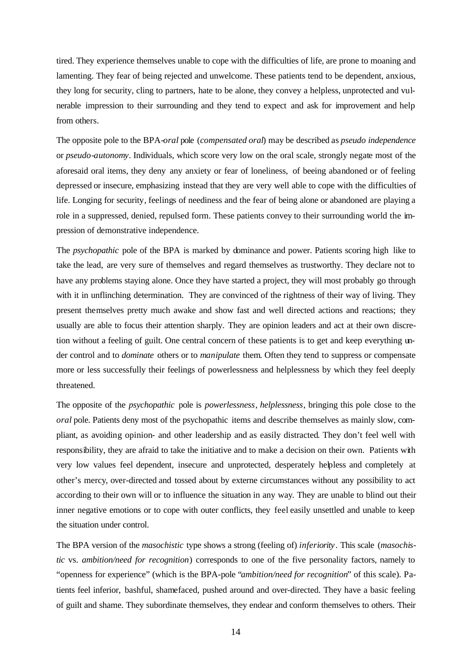tired. They experience themselves unable to cope with the difficulties of life, are prone to moaning and lamenting. They fear of being rejected and unwelcome. These patients tend to be dependent, anxious, they long for security, cling to partners, hate to be alone, they convey a helpless, unprotected and vulnerable impression to their surrounding and they tend to expect and ask for improvement and help from others.

The opposite pole to the BPA-*oral* pole (*compensated oral*) may be described as *pseudo independence*  or *pseudo-autonomy*. Individuals, which score very low on the oral scale, strongly negate most of the aforesaid oral items, they deny any anxiety or fear of loneliness, of beeing abandoned or of feeling depressed or insecure, emphasizing instead that they are very well able to cope with the difficulties of life. Longing for security, feelings of neediness and the fear of being alone or abandoned are playing a role in a suppressed, denied, repulsed form. These patients convey to their surrounding world the impression of demonstrative independence.

The *psychopathic* pole of the BPA is marked by dominance and power. Patients scoring high like to take the lead, are very sure of themselves and regard themselves as trustworthy. They declare not to have any problems staying alone. Once they have started a project, they will most probably go through with it in unflinching determination. They are convinced of the rightness of their way of living. They present themselves pretty much awake and show fast and well directed actions and reactions; they usually are able to focus their attention sharply. They are opinion leaders and act at their own discretion without a feeling of guilt. One central concern of these patients is to get and keep everything under control and to *dominate* others or to *manipulate* them. Often they tend to suppress or compensate more or less successfully their feelings of powerlessness and helplessness by which they feel deeply threatened.

The opposite of the *psychopathic* pole is *powerlessness*, *helplessness*, bringing this pole close to the *oral* pole. Patients deny most of the psychopathic items and describe themselves as mainly slow, compliant, as avoiding opinion- and other leadership and as easily distracted. They don't feel well with responsibility, they are afraid to take the initiative and to make a decision on their own. Patients with very low values feel dependent, insecure and unprotected, desperately helpless and completely at other's mercy, over-directed and tossed about by externe circumstances without any possibility to act according to their own will or to influence the situation in any way. They are unable to blind out their inner negative emotions or to cope with outer conflicts, they feel easily unsettled and unable to keep the situation under control.

The BPA version of the *masochistic* type shows a strong (feeling of) *inferiority*. This scale (*masochistic* vs. *ambition/need for recognition*) corresponds to one of the five personality factors, namely to "openness for experience" (which is the BPA-pole "*ambition/need for recognition*" of this scale). Patients feel inferior, bashful, shamefaced, pushed around and over-directed. They have a basic feeling of guilt and shame. They subordinate themselves, they endear and conform themselves to others. Their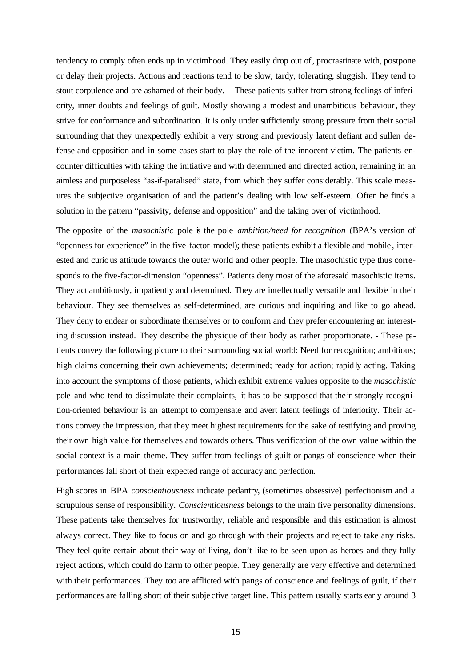tendency to comply often ends up in victimhood. They easily drop out of, procrastinate with, postpone or delay their projects. Actions and reactions tend to be slow, tardy, tolerating, sluggish. They tend to stout corpulence and are ashamed of their body. – These patients suffer from strong feelings of inferiority, inner doubts and feelings of guilt. Mostly showing a modest and unambitious behaviour, they strive for conformance and subordination. It is only under sufficiently strong pressure from their social surrounding that they unexpectedly exhibit a very strong and previously latent defiant and sullen defense and opposition and in some cases start to play the role of the innocent victim. The patients encounter difficulties with taking the initiative and with determined and directed action, remaining in an aimless and purposeless "as-if-paralised" state, from which they suffer considerably. This scale measures the subjective organisation of and the patient's dealing with low self-esteem. Often he finds a solution in the pattern "passivity, defense and opposition" and the taking over of victimhood.

The opposite of the *masochistic* pole is the pole *ambition/need for recognition* (BPA's version of "openness for experience" in the five-factor-model); these patients exhibit a flexible and mobile , interested and curious attitude towards the outer world and other people. The masochistic type thus corresponds to the five-factor-dimension "openness". Patients deny most of the aforesaid masochistic items. They act ambitiously, impatiently and determined. They are intellectually versatile and flexible in their behaviour. They see themselves as self-determined, are curious and inquiring and like to go ahead. They deny to endear or subordinate themselves or to conform and they prefer encountering an interesting discussion instead. They describe the physique of their body as rather proportionate. - These patients convey the following picture to their surrounding social world: Need for recognition; ambitious; high claims concerning their own achievements; determined; ready for action; rapidly acting. Taking into account the symptoms of those patients, which exhibit extreme values opposite to the *masochistic* pole and who tend to dissimulate their complaints, it has to be supposed that the ir strongly recognition-oriented behaviour is an attempt to compensate and avert latent feelings of inferiority. Their actions convey the impression, that they meet highest requirements for the sake of testifying and proving their own high value for themselves and towards others. Thus verification of the own value within the social context is a main theme. They suffer from feelings of guilt or pangs of conscience when their performances fall short of their expected range of accuracy and perfection.

High scores in BPA *conscientiousness* indicate pedantry, (sometimes obsessive) perfectionism and a scrupulous sense of responsibility. *Conscientiousness* belongs to the main five personality dimensions. These patients take themselves for trustworthy, reliable and responsible and this estimation is almost always correct. They like to focus on and go through with their projects and reject to take any risks. They feel quite certain about their way of living, don't like to be seen upon as heroes and they fully reject actions, which could do harm to other people. They generally are very effective and determined with their performances. They too are afflicted with pangs of conscience and feelings of guilt, if their performances are falling short of their subje ctive target line. This pattern usually starts early around 3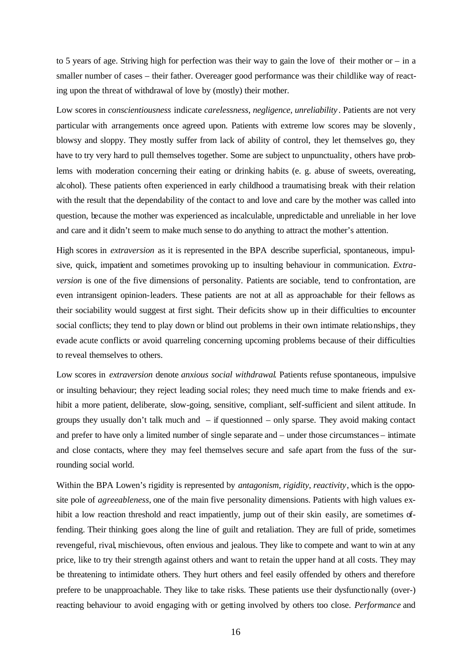to 5 years of age. Striving high for perfection was their way to gain the love of their mother or – in a smaller number of cases – their father. Overeager good performance was their childlike way of reacting upon the threat of withdrawal of love by (mostly) their mother.

Low scores in *conscientiousness* indicate *carelessness, negligence, unreliability* . Patients are not very particular with arrangements once agreed upon. Patients with extreme low scores may be slovenly, blowsy and sloppy. They mostly suffer from lack of ability of control, they let themselves go, they have to try very hard to pull themselves together. Some are subject to unpunctuality, others have problems with moderation concerning their eating or drinking habits (e. g. abuse of sweets, overeating, alcohol). These patients often experienced in early childhood a traumatising break with their relation with the result that the dependability of the contact to and love and care by the mother was called into question, because the mother was experienced as incalculable, unpredictable and unreliable in her love and care and it didn't seem to make much sense to do anything to attract the mother's attention.

High scores in *extraversion* as it is represented in the BPA describe superficial, spontaneous, impulsive, quick, impatient and sometimes provoking up to insulting behaviour in communication. *Extraversion* is one of the five dimensions of personality. Patients are sociable, tend to confrontation, are even intransigent opinion-leaders. These patients are not at all as approachable for their fellows as their sociability would suggest at first sight. Their deficits show up in their difficulties to encounter social conflicts; they tend to play down or blind out problems in their own intimate relationships, they evade acute conflicts or avoid quarreling concerning upcoming problems because of their difficulties to reveal themselves to others.

Low scores in *extraversion* denote *anxious social withdrawal*. Patients refuse spontaneous, impulsive or insulting behaviour; they reject leading social roles; they need much time to make friends and exhibit a more patient, deliberate, slow-going, sensitive, compliant, self-sufficient and silent attitude. In groups they usually don't talk much and – if questionned – only sparse. They avoid making contact and prefer to have only a limited number of single separate and – under those circumstances – intimate and close contacts, where they may feel themselves secure and safe apart from the fuss of the surrounding social world.

Within the BPA Lowen's rigidity is represented by *antagonism, rigidity, reactivity*, which is the opposite pole of *agreeableness*, one of the main five personality dimensions. Patients with high values exhibit a low reaction threshold and react impatiently, jump out of their skin easily, are sometimes offending. Their thinking goes along the line of guilt and retaliation. They are full of pride, sometimes revengeful, rival, mischievous, often envious and jealous. They like to compete and want to win at any price, like to try their strength against others and want to retain the upper hand at all costs. They may be threatening to intimidate others. They hurt others and feel easily offended by others and therefore prefere to be unapproachable. They like to take risks. These patients use their dysfunctionally (over-) reacting behaviour to avoid engaging with or getting involved by others too close. *Performance* and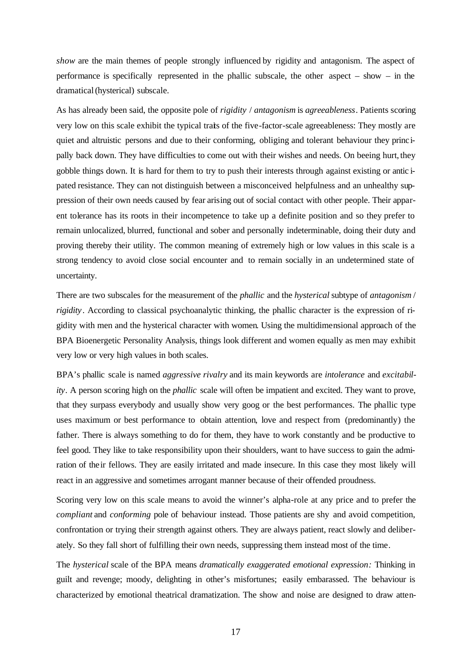*show* are the main themes of people strongly influenced by rigidity and antagonism. The aspect of performance is specifically represented in the phallic subscale, the other aspect – show – in the dramatical (hysterical) subscale.

As has already been said, the opposite pole of *rigidity* / *antagonism* is *agreeableness*. Patients scoring very low on this scale exhibit the typical traits of the five-factor-scale agreeableness: They mostly are quiet and altruistic persons and due to their conforming, obliging and tolerant behaviour they principally back down. They have difficulties to come out with their wishes and needs. On beeing hurt, they gobble things down. It is hard for them to try to push their interests through against existing or antic ipated resistance. They can not distinguish between a misconceived helpfulness and an unhealthy suppression of their own needs caused by fear arising out of social contact with other people. Their apparent tolerance has its roots in their incompetence to take up a definite position and so they prefer to remain unlocalized, blurred, functional and sober and personally indeterminable, doing their duty and proving thereby their utility. The common meaning of extremely high or low values in this scale is a strong tendency to avoid close social encounter and to remain socially in an undetermined state of uncertainty.

There are two subscales for the measurement of the *phallic* and the *hysterical* subtype of *antagonism* / *rigidity* . According to classical psychoanalytic thinking, the phallic character is the expression of rigidity with men and the hysterical character with women. Using the multidimensional approach of the BPA Bioenergetic Personality Analysis, things look different and women equally as men may exhibit very low or very high values in both scales.

BPA's phallic scale is named *aggressive rivalry* and its main keywords are *intolerance* and *excitability*. A person scoring high on the *phallic* scale will often be impatient and excited. They want to prove, that they surpass everybody and usually show very goog or the best performances. The phallic type uses maximum or best performance to obtain attention, love and respect from (predominantly) the father. There is always something to do for them, they have to work constantly and be productive to feel good. They like to take responsibility upon their shoulders, want to have success to gain the admiration of their fellows. They are easily irritated and made insecure. In this case they most likely will react in an aggressive and sometimes arrogant manner because of their offended proudness.

Scoring very low on this scale means to avoid the winner's alpha-role at any price and to prefer the *compliant* and *conforming* pole of behaviour instead. Those patients are shy and avoid competition, confrontation or trying their strength against others. They are always patient, react slowly and deliberately. So they fall short of fulfilling their own needs, suppressing them instead most of the time.

The *hysterical* scale of the BPA means *dramatically exaggerated emotional expression:* Thinking in guilt and revenge; moody, delighting in other's misfortunes; easily embarassed. The behaviour is characterized by emotional theatrical dramatization. The show and noise are designed to draw atten-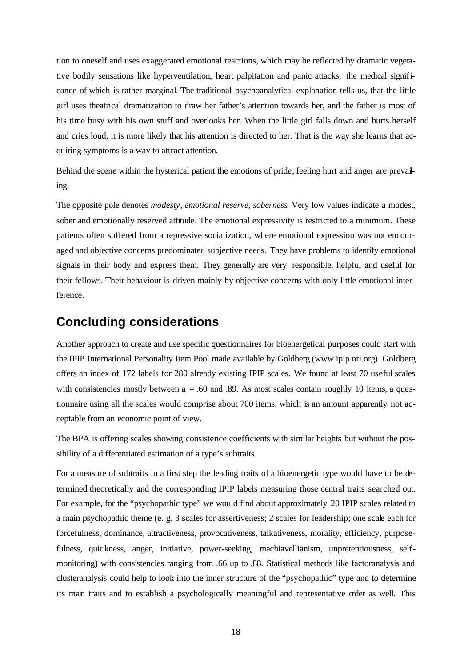tion to oneself and uses exaggerated emotional reactions, which may be reflected by dramatic vegetative bodily sensations like hyperventilation, heart palpitation and panic attacks, the medical significance of which is rather marginal. The traditional psychoanalytical explanation tells us, that the little girl uses theatrical dramatization to draw her father's attention towards her, and the father is most of his time busy with his own stuff and overlooks her. When the little girl falls down and hurts herself and cries loud, it is more likely that his attention is directed to her. That is the way she learns that acquiring symptoms is a way to attract attention.

Behind the scene within the hysterical patient the emotions of pride, feeling hurt and anger are prevailing.

The opposite pole denotes *modesty*, *emotional reserve, soberness*. Very low values indicate a modest, sober and emotionally reserved attitude. The emotional expressivity is restricted to a minimum. These patients often suffered from a repressive socialization, where emotional expression was not encouraged and objective concerns predominated subjective needs. They have problems to identify emotional signals in their body and express them. They generally are very responsible, helpful and useful for their fellows. Their behaviour is driven mainly by objective concerns with only little emotional interference.

#### **Concluding considerations**

Another approach to create and use specific questionnaires for bioenergetical purposes could start with the IPIP International Personality Item Pool made available by Goldberg (www.ipip.ori.org). Goldberg offers an index of 172 labels for 280 already existing IPIP scales. We found at least 70 useful scales with consistencies mostly between  $a = .60$  and .89. As most scales contain roughly 10 items, a questionnaire using all the scales would comprise about 700 items, which is an amount apparently not acceptable from an economic point of view.

The BPA is offering scales showing consistence coefficients with similar heights but without the possibility of a differentiated estimation of a type's subtraits.

For a measure of subtraits in a first step the leading traits of a bioenergetic type would have to be determined theoretically and the corresponding IPIP labels measuring those central traits searched out. For example, for the "psychopathic type" we would find about approximately 20 IPIP scales related to a main psychopathic theme (e. g. 3 scales for assertiveness; 2 scales for leadership; one scale each for forcefulness, dominance, attractiveness, provocativeness, talkativeness, morality, efficiency, purposefulness, quickness, anger, initiative, power-seeking, machiavellianism, unpretentiousness, selfmonitoring) with consistencies ranging from .66 up to .88. Statistical methods like factoranalysis and clusteranalysis could help to look into the inner structure of the "psychopathic" type and to determine its main traits and to establish a psychologically meaningful and representative order as well. This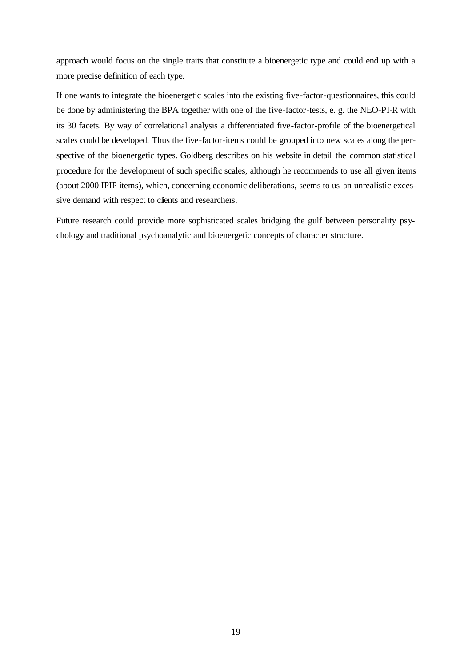approach would focus on the single traits that constitute a bioenergetic type and could end up with a more precise definition of each type.

If one wants to integrate the bioenergetic scales into the existing five-factor-questionnaires, this could be done by administering the BPA together with one of the five-factor-tests, e. g. the NEO-PI-R with its 30 facets. By way of correlational analysis a differentiated five-factor-profile of the bioenergetical scales could be developed. Thus the five-factor-items could be grouped into new scales along the perspective of the bioenergetic types. Goldberg describes on his website in detail the common statistical procedure for the development of such specific scales, although he recommends to use all given items (about 2000 IPIP items), which, concerning economic deliberations, seems to us an unrealistic excessive demand with respect to clients and researchers.

Future research could provide more sophisticated scales bridging the gulf between personality psychology and traditional psychoanalytic and bioenergetic concepts of character structure.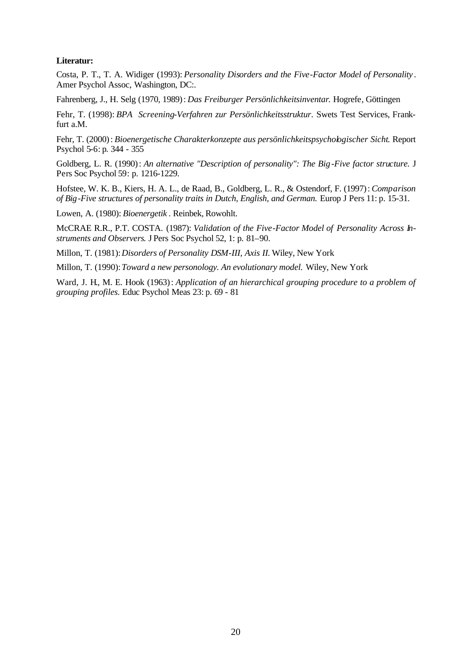#### **Literatur:**

Costa, P. T., T. A. Widiger (1993): *Personality Disorders and the Five-Factor Model of Personality* . Amer Psychol Assoc, Washington, DC:.

Fahrenberg, J., H. Selg (1970, 1989): *Das Freiburger Persönlichkeitsinventar*. Hogrefe, Göttingen

Fehr, T. (1998): *BPA Screening-Verfahren zur Persönlichkeitsstruktur*. Swets Test Services, Frankfurt a.M.

Fehr, T. (2000): *Bioenergetische Charakterkonzepte aus persönlichkeitspsychologischer Sicht*. Report Psychol 5-6: p. 344 - 355

Goldberg, L. R. (1990): *An alternative "Description of personality": The Big-Five factor structure.* J Pers Soc Psychol 59: p. 1216-1229.

Hofstee, W. K. B., Kiers, H. A. L., de Raad, B., Goldberg, L. R., & Ostendorf, F. (1997): *Comparison of Big-Five structures of personality traits in Dutch, English, and German.* Europ J Pers 11: p. 15-31.

Lowen, A. (1980): *Bioenergetik* . Reinbek, Rowohlt.

McCRAE R.R., P.T. COSTA. (1987): *Validation of the Five-Factor Model of Personality Across Instruments and Observers*. J Pers Soc Psychol 52, 1: p. 81–90.

Millon, T. (1981):*Disorders of Personality DSM-III, Axis II.* Wiley, New York

Millon, T. (1990):*Toward a new personology. An evolutionary model.* Wiley, New York

Ward, J. H., M. E. Hook (1963): *Application of an hierarchical grouping procedure to a problem of grouping profiles.* Educ Psychol Meas 23: p. 69 - 81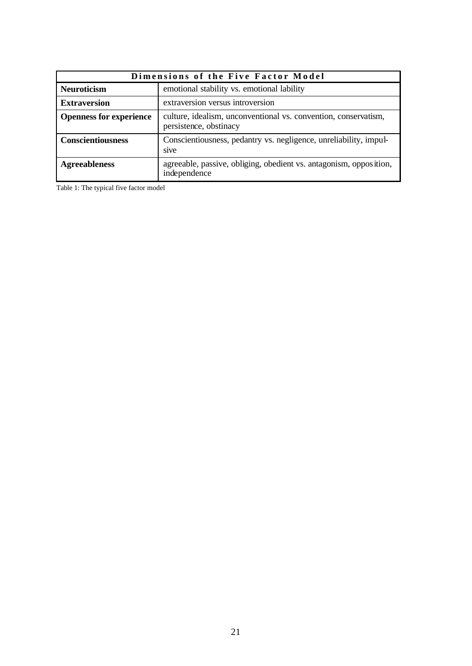|                                                                  | Dimensions of the Five Factor Model                                                       |  |  |  |  |  |  |
|------------------------------------------------------------------|-------------------------------------------------------------------------------------------|--|--|--|--|--|--|
| emotional stability vs. emotional lability<br><b>Neuroticism</b> |                                                                                           |  |  |  |  |  |  |
| <b>Extraversion</b>                                              | extraversion versus introversion                                                          |  |  |  |  |  |  |
| <b>Openness for experience</b>                                   | culture, idealism, unconventional vs. convention, conservatism,<br>persistence, obstinacy |  |  |  |  |  |  |
| <b>Conscientiousness</b>                                         | Conscientiousness, pedantry vs. negligence, unreliability, impul-<br>sive                 |  |  |  |  |  |  |
| <b>Agreeableness</b>                                             | agreeable, passive, obliging, obedient vs. antagonism, opposition,<br>independence        |  |  |  |  |  |  |

Table 1: The typical five factor model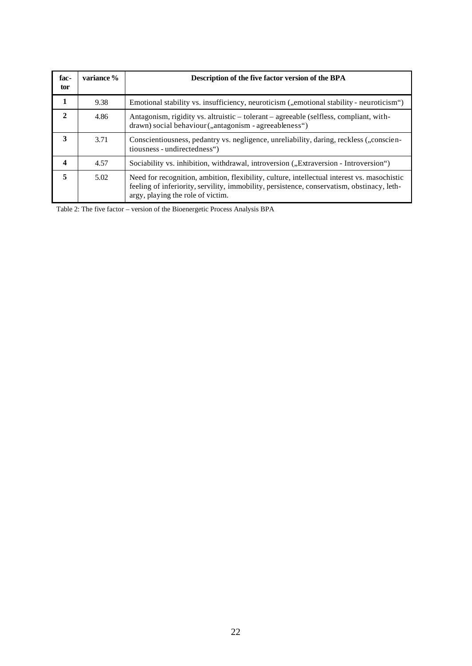| fac-<br>tor             | variance % | Description of the five factor version of the BPA                                                                                                                                                                              |
|-------------------------|------------|--------------------------------------------------------------------------------------------------------------------------------------------------------------------------------------------------------------------------------|
| 1                       | 9.38       | Emotional stability vs. insufficiency, neuroticism ("emotional stability - neuroticism")                                                                                                                                       |
| 2                       | 4.86       | Antagonism, rigidity vs. altruistic – tolerant – agreeable (selfless, compliant, with-<br>drawn) social behaviour ("antagonism - agreeableness")                                                                               |
| 3                       | 3.71       | Conscientiousness, pedantry vs. negligence, unreliability, daring, reckless ("conscien-<br>tiousness - undirectedness")                                                                                                        |
| $\overline{\mathbf{4}}$ | 4.57       | Sociability vs. inhibition, withdrawal, introversion ("Extraversion - Introversion")                                                                                                                                           |
| 5                       | 5.02       | Need for recognition, ambition, flexibility, culture, intellectual interest vs. masochistic<br>feeling of inferiority, servility, immobility, persistence, conservatism, obstinacy, leth-<br>argy, playing the role of victim. |

Table 2: The five factor – version of the Bioenergetic Process Analysis BPA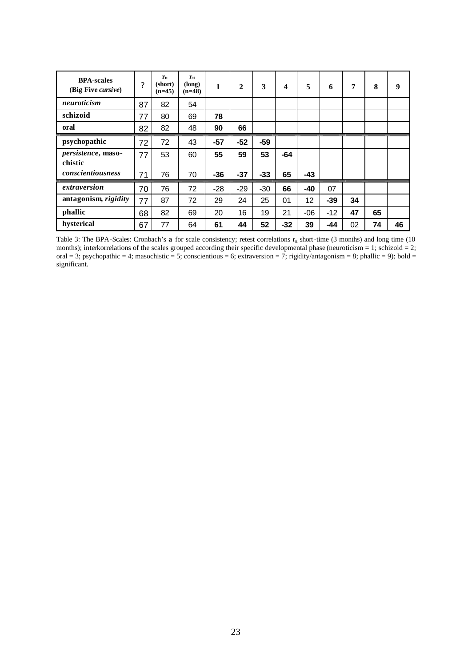| <b>BPA-scales</b><br>(Big Five <i>cursive</i> ) | ?  | $r_{tt}$<br>(short)<br>$(n=45)$ | $r_{tt}$<br>(long)<br>$(n=48)$ | 1     | $\mathbf{2}$ | 3     | $\boldsymbol{4}$ | 5     | 6     | 7  | 8  | 9  |
|-------------------------------------------------|----|---------------------------------|--------------------------------|-------|--------------|-------|------------------|-------|-------|----|----|----|
| neuroticism                                     | 87 | 82                              | 54                             |       |              |       |                  |       |       |    |    |    |
| schizoid                                        | 77 | 80                              | 69                             | 78    |              |       |                  |       |       |    |    |    |
| oral                                            | 82 | 82                              | 48                             | 90    | 66           |       |                  |       |       |    |    |    |
| psychopathic                                    | 72 | 72                              | 43                             | $-57$ | $-52$        | $-59$ |                  |       |       |    |    |    |
| persistence, maso-<br>chistic                   | 77 | 53                              | 60                             | 55    | 59           | 53    | $-64$            |       |       |    |    |    |
| conscientiousness                               | 71 | 76                              | 70                             | $-36$ | $-37$        | $-33$ | 65               | $-43$ |       |    |    |    |
| extraversion                                    | 70 | 76                              | 72                             | $-28$ | $-29$        | $-30$ | 66               | $-40$ | 07    |    |    |    |
| antagonism, rigidity                            | 77 | 87                              | 72                             | 29    | 24           | 25    | 01               | 12    | $-39$ | 34 |    |    |
| phallic                                         | 68 | 82                              | 69                             | 20    | 16           | 19    | 21               | $-06$ | $-12$ | 47 | 65 |    |
| hysterical                                      | 67 | 77                              | 64                             | 61    | 44           | 52    | -32              | 39    | $-44$ | 02 | 74 | 46 |

Table 3: The BPA-Scales: Cronbach's  $\bf{a}$  for scale consistency; retest correlations  $r_{tt}$  short-time (3 months) and long time (10 months); interkorrelations of the scales grouped according their specific developmental phase (neuroticism = 1; schizoid = 2; oral = 3; psychopathic = 4; masochistic = 5; conscientious = 6; extraversion = 7; rigidity/antagonism = 8; phallic = 9); bold = significant.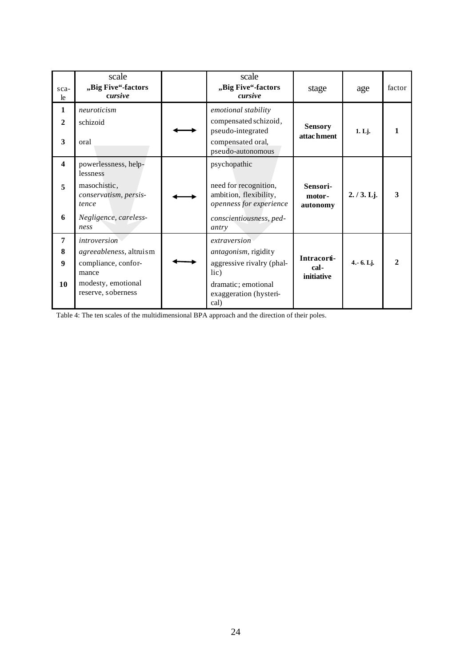| sca-<br>le                        | scale<br>"Big Five"-factors<br>cursive                                                                                     | scale<br>"Big Five"-factors<br>cursive                                                                                             | stage                             | age         | factor                      |
|-----------------------------------|----------------------------------------------------------------------------------------------------------------------------|------------------------------------------------------------------------------------------------------------------------------------|-----------------------------------|-------------|-----------------------------|
| 1<br>$\mathbf{2}$<br>3            | neuroticism<br>schizoid<br>oral                                                                                            | emotional stability<br>compensated schizoid,<br>pseudo-integrated<br>compensated oral,<br>pseudo-autonomous                        | <b>Sensory</b><br>attachment      | 1. Lj.      |                             |
| $\overline{\mathbf{4}}$<br>5<br>6 | powerlessness, help-<br>lessness<br>masochistic,<br>conservatism, persis-<br>tence<br>Negligence, careless-<br>ness        | psychopathic<br>need for recognition,<br>ambition, flexibility,<br>openness for experience<br>conscientiousness, ped-<br>antry     | Sensori-<br>motor-<br>autonomy    | 2./3.Lj.    | 3                           |
| $\overline{7}$<br>8<br>9<br>10    | <i>introversion</i><br>agreeableness, altruism<br>compliance, confor-<br>mance<br>modesty, emotional<br>reserve, soberness | extraversion<br>antagonism, rigidity<br>aggressive rivalry (phal-<br>lic)<br>dramatic; emotional<br>exaggeration (hysteri-<br>cal) | Intracorti-<br>cal-<br>initiative | $4.-6.$ Lj. | $\mathcal{D}_{\mathcal{L}}$ |

Table 4: The ten scales of the multidimensional BPA approach and the direction of their poles.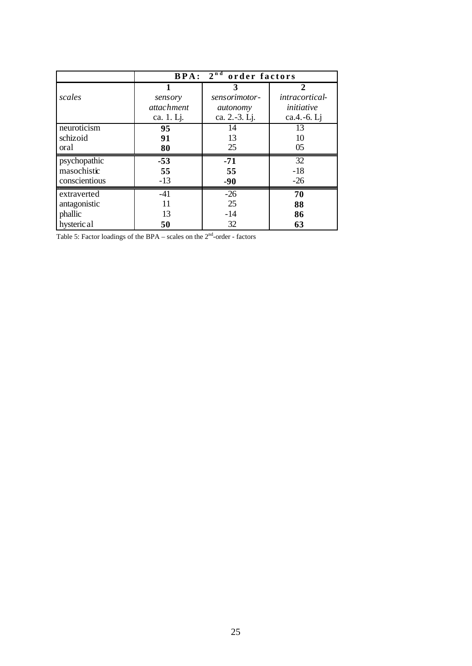|               | $2^{nd}$<br><b>BPA:</b><br>order factors |               |                       |  |  |  |  |  |
|---------------|------------------------------------------|---------------|-----------------------|--|--|--|--|--|
|               |                                          | 3             | 2                     |  |  |  |  |  |
| scales        | sensory                                  | sensorimotor- | <i>intracortical-</i> |  |  |  |  |  |
|               | <i>attachment</i>                        | autonomy      | initiative            |  |  |  |  |  |
|               | ca. 1. Lj.                               | ca. 2.-3. Lj. | ca.4.-6. Lj           |  |  |  |  |  |
| neuroticism   | 95                                       | 14            | 13                    |  |  |  |  |  |
| schizoid      | 91                                       | 13            | 10                    |  |  |  |  |  |
| oral          | 80                                       | 25            | 05                    |  |  |  |  |  |
| psychopathic  | $-53$                                    | $-71$         | $\overline{32}$       |  |  |  |  |  |
| masochistic   | 55                                       | 55            | $-18$                 |  |  |  |  |  |
| conscientious | $-13$                                    | $-90$         | $-26$                 |  |  |  |  |  |
| extraverted   | $-41$                                    | $-26$         | 70                    |  |  |  |  |  |
| antagonistic  | 11                                       | 25            | 88                    |  |  |  |  |  |
| phallic       | 13                                       | $-14$         | 86                    |  |  |  |  |  |
| hysteric al   | 50                                       | 32            | 63                    |  |  |  |  |  |

Table 5: Factor loadings of the BPA – scales on the  $2<sup>nd</sup>$ -order - factors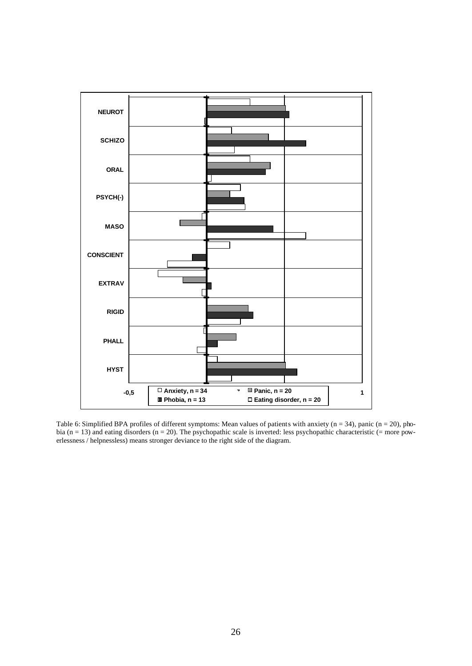

Table 6: Simplified BPA profiles of different symptoms: Mean values of patients with anxiety  $(n = 34)$ , panic  $(n = 20)$ , phobia ( $n = 13$ ) and eating disorders ( $n = 20$ ). The psychopathic scale is inverted: less psychopathic characteristic ( $=$  more powerlessness / helpnessless) means stronger deviance to the right side of the diagram.